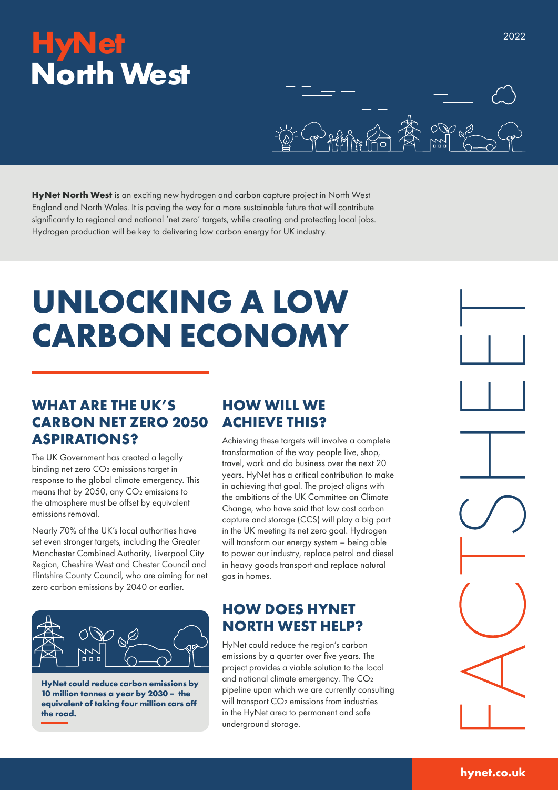## **HyNet North West**



HyNet North West is an exciting new hydrogen and carbon capture project in North West England and North Wales. It is paving the way for a more sustainable future that will contribute significantly to regional and national 'net zero' targets, while creating and protecting local jobs. Hydrogen production will be key to delivering low carbon energy for UK industry.

# **UNLOCKING A LOW CARBON ECONOMY**

#### **WHAT ARE THE UK'S CARBON NET ZERO 2050 ASPIRATIONS?**

The UK Government has created a legally binding net zero CO₂ emissions target in response to the global climate emergency. This means that by 2050, any CO<sub>2</sub> emissions to the atmosphere must be offset by equivalent emissions removal.

Nearly 70% of the UK's local authorities have set even stronger targets, including the Greater Manchester Combined Authority, Liverpool City Region, Cheshire West and Chester Council and Flintshire County Council, who are aiming for net zero carbon emissions by 2040 or earlier.



**HyNet could reduce carbon emissions by 10 million tonnes a year by 2030 – the equivalent of taking four million cars off the road.**

#### **HOW WILL WE ACHIEVE THIS?**

Achieving these targets will involve a complete transformation of the way people live, shop, travel, work and do business over the next 20 years. HyNet has a critical contribution to make in achieving that goal. The project aligns with the ambitions of the UK Committee on Climate Change, who have said that low cost carbon capture and storage (CCS) will play a big part in the UK meeting its net zero goal. Hydrogen will transform our energy system – being able to power our industry, replace petrol and diesel in heavy goods transport and replace natural gas in homes.

#### **HOW DOES HYNET NORTH WEST HELP?**

HyNet could reduce the region's carbon emissions by a quarter over five years. The project provides a viable solution to the local and national climate emergency. The CO<sub>2</sub> pipeline upon which we are currently consulting will transport CO<sub>2</sub> emissions from industries in the HyNet area to permanent and safe underground storage.



#### **hynet.co.uk**